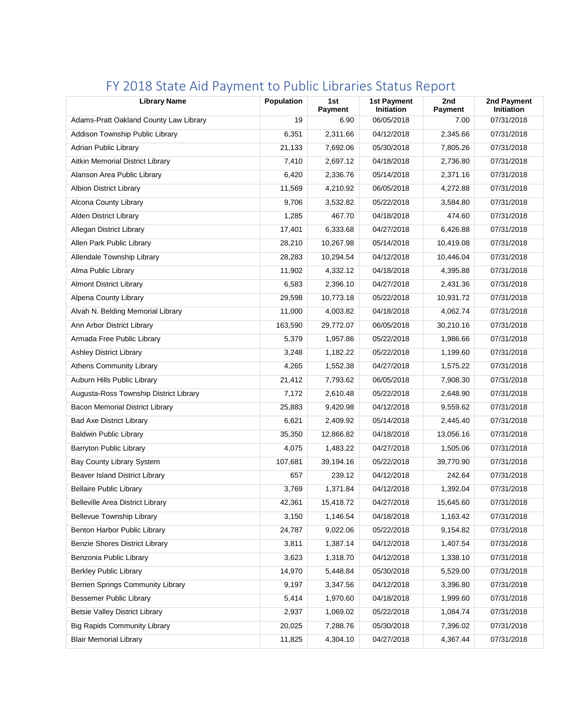| <b>Library Name</b>                      | Population | 1st<br>Payment | <b>1st Payment</b><br>Initiation | 2nd<br>Payment | 2nd Payment<br>Initiation |
|------------------------------------------|------------|----------------|----------------------------------|----------------|---------------------------|
| Adams-Pratt Oakland County Law Library   | 19         | 6.90           | 06/05/2018                       | 7.00           | 07/31/2018                |
| Addison Township Public Library          | 6,351      | 2,311.66       | 04/12/2018                       | 2,345.66       | 07/31/2018                |
| Adrian Public Library                    | 21,133     | 7,692.06       | 05/30/2018                       | 7,805.26       | 07/31/2018                |
| Aitkin Memorial District Library         | 7,410      | 2,697.12       | 04/18/2018                       | 2,736.80       | 07/31/2018                |
| Alanson Area Public Library              | 6,420      | 2,336.76       | 05/14/2018                       | 2,371.16       | 07/31/2018                |
| <b>Albion District Library</b>           | 11,569     | 4,210.92       | 06/05/2018                       | 4,272.88       | 07/31/2018                |
| Alcona County Library                    | 9,706      | 3,532.82       | 05/22/2018                       | 3,584.80       | 07/31/2018                |
| Alden District Library                   | 1,285      | 467.70         | 04/18/2018                       | 474.60         | 07/31/2018                |
| Allegan District Library                 | 17,401     | 6,333.68       | 04/27/2018                       | 6,426.88       | 07/31/2018                |
| Allen Park Public Library                | 28,210     | 10,267.98      | 05/14/2018                       | 10,419.08      | 07/31/2018                |
| Allendale Township Library               | 28,283     | 10,294.54      | 04/12/2018                       | 10,446.04      | 07/31/2018                |
| Alma Public Library                      | 11,902     | 4,332.12       | 04/18/2018                       | 4,395.88       | 07/31/2018                |
| <b>Almont District Library</b>           | 6,583      | 2,396.10       | 04/27/2018                       | 2,431.36       | 07/31/2018                |
| Alpena County Library                    | 29,598     | 10,773.18      | 05/22/2018                       | 10,931.72      | 07/31/2018                |
| Alvah N. Belding Memorial Library        | 11,000     | 4,003.82       | 04/18/2018                       | 4,062.74       | 07/31/2018                |
| Ann Arbor District Library               | 163,590    | 29,772.07      | 06/05/2018                       | 30,210.16      | 07/31/2018                |
| Armada Free Public Library               | 5,379      | 1,957.86       | 05/22/2018                       | 1,986.66       | 07/31/2018                |
| Ashley District Library                  | 3,248      | 1,182.22       | 05/22/2018                       | 1,199.60       | 07/31/2018                |
| Athens Community Library                 | 4,265      | 1,552.38       | 04/27/2018                       | 1,575.22       | 07/31/2018                |
| Auburn Hills Public Library              | 21,412     | 7,793.62       | 06/05/2018                       | 7,908.30       | 07/31/2018                |
| Augusta-Ross Township District Library   | 7,172      | 2,610.48       | 05/22/2018                       | 2,648.90       | 07/31/2018                |
| <b>Bacon Memorial District Library</b>   | 25,883     | 9,420.98       | 04/12/2018                       | 9,559.62       | 07/31/2018                |
| <b>Bad Axe District Library</b>          | 6,621      | 2,409.92       | 05/14/2018                       | 2,445.40       | 07/31/2018                |
| <b>Baldwin Public Library</b>            | 35,350     | 12,866.82      | 04/18/2018                       | 13,056.16      | 07/31/2018                |
| Barryton Public Library                  | 4.075      | 1,483.22       | 04/27/2018                       | 1,505.06       | 07/31/2018                |
| Bay County Library System                | 107,681    | 39,194.16      | 05/22/2018                       | 39,770.90      | 07/31/2018                |
| <b>Beaver Island District Library</b>    | 657        | 239.12         | 04/12/2018                       | 242.64         | 07/31/2018                |
| <b>Bellaire Public Library</b>           | 3,769      | 1,371.84       | 04/12/2018                       | 1,392.04       | 07/31/2018                |
| <b>Belleville Area District Library</b>  | 42,361     | 15,418.72      | 04/27/2018                       | 15,645.60      | 07/31/2018                |
| <b>Bellevue Township Library</b>         | 3,150      | 1,146.54       | 04/18/2018                       | 1,163.42       | 07/31/2018                |
| Benton Harbor Public Library             | 24,787     | 9,022.06       | 05/22/2018                       | 9,154.82       | 07/31/2018                |
| <b>Benzie Shores District Library</b>    | 3,811      | 1,387.14       | 04/12/2018                       | 1,407.54       | 07/31/2018                |
| Benzonia Public Library                  | 3,623      | 1,318.70       | 04/12/2018                       | 1,338.10       | 07/31/2018                |
| <b>Berkley Public Library</b>            | 14,970     | 5,448.84       | 05/30/2018                       | 5,529.00       | 07/31/2018                |
| <b>Berrien Springs Community Library</b> | 9,197      | 3,347.56       | 04/12/2018                       | 3,396.80       | 07/31/2018                |
| <b>Bessemer Public Library</b>           | 5,414      | 1,970.60       | 04/18/2018                       | 1,999.60       | 07/31/2018                |
| <b>Betsie Valley District Library</b>    | 2,937      | 1,069.02       | 05/22/2018                       | 1,084.74       | 07/31/2018                |
| <b>Big Rapids Community Library</b>      | 20,025     | 7,288.76       | 05/30/2018                       | 7,396.02       | 07/31/2018                |
| <b>Blair Memorial Library</b>            | 11,825     | 4,304.10       | 04/27/2018                       | 4,367.44       | 07/31/2018                |

## FY 2018 State Aid Payment to Public Libraries Status Report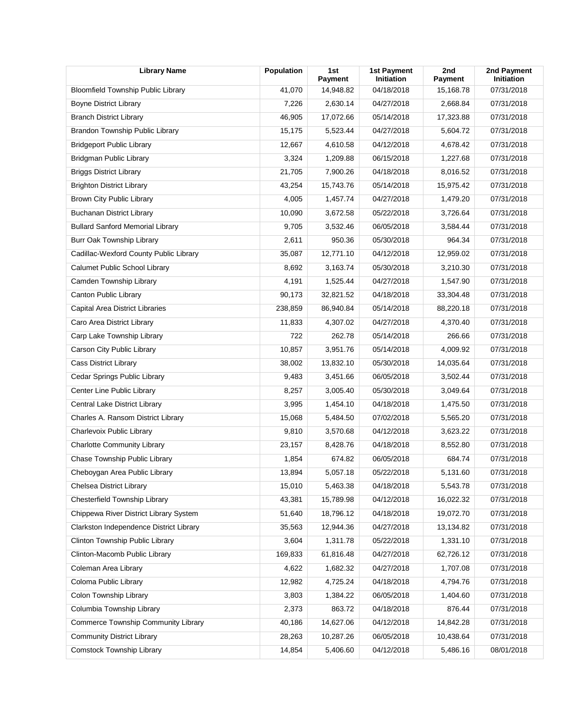| <b>Library Name</b>                        | Population | 1st<br>Payment | <b>1st Payment</b><br><b>Initiation</b> | 2nd<br><b>Payment</b> | 2nd Payment<br><b>Initiation</b> |
|--------------------------------------------|------------|----------------|-----------------------------------------|-----------------------|----------------------------------|
| <b>Bloomfield Township Public Library</b>  | 41,070     | 14,948.82      | 04/18/2018                              | 15,168.78             | 07/31/2018                       |
| <b>Boyne District Library</b>              | 7,226      | 2,630.14       | 04/27/2018                              | 2,668.84              | 07/31/2018                       |
| <b>Branch District Library</b>             | 46,905     | 17,072.66      | 05/14/2018                              | 17,323.88             | 07/31/2018                       |
| Brandon Township Public Library            | 15,175     | 5,523.44       | 04/27/2018                              | 5,604.72              | 07/31/2018                       |
| <b>Bridgeport Public Library</b>           | 12,667     | 4,610.58       | 04/12/2018                              | 4,678.42              | 07/31/2018                       |
| Bridgman Public Library                    | 3,324      | 1,209.88       | 06/15/2018                              | 1,227.68              | 07/31/2018                       |
| <b>Briggs District Library</b>             | 21,705     | 7,900.26       | 04/18/2018                              | 8,016.52              | 07/31/2018                       |
| <b>Brighton District Library</b>           | 43,254     | 15,743.76      | 05/14/2018                              | 15,975.42             | 07/31/2018                       |
| <b>Brown City Public Library</b>           | 4,005      | 1,457.74       | 04/27/2018                              | 1,479.20              | 07/31/2018                       |
| <b>Buchanan District Library</b>           | 10,090     | 3,672.58       | 05/22/2018                              | 3,726.64              | 07/31/2018                       |
| <b>Bullard Sanford Memorial Library</b>    | 9,705      | 3,532.46       | 06/05/2018                              | 3,584.44              | 07/31/2018                       |
| Burr Oak Township Library                  | 2,611      | 950.36         | 05/30/2018                              | 964.34                | 07/31/2018                       |
| Cadillac-Wexford County Public Library     | 35,087     | 12,771.10      | 04/12/2018                              | 12,959.02             | 07/31/2018                       |
| Calumet Public School Library              | 8,692      | 3,163.74       | 05/30/2018                              | 3,210.30              | 07/31/2018                       |
| Camden Township Library                    | 4,191      | 1,525.44       | 04/27/2018                              | 1,547.90              | 07/31/2018                       |
| Canton Public Library                      | 90,173     | 32,821.52      | 04/18/2018                              | 33,304.48             | 07/31/2018                       |
| <b>Capital Area District Libraries</b>     | 238,859    | 86,940.84      | 05/14/2018                              | 88,220.18             | 07/31/2018                       |
| Caro Area District Library                 | 11,833     | 4,307.02       | 04/27/2018                              | 4,370.40              | 07/31/2018                       |
| Carp Lake Township Library                 | 722        | 262.78         | 05/14/2018                              | 266.66                | 07/31/2018                       |
| Carson City Public Library                 | 10,857     | 3,951.76       | 05/14/2018                              | 4,009.92              | 07/31/2018                       |
| <b>Cass District Library</b>               | 38,002     | 13,832.10      | 05/30/2018                              | 14,035.64             | 07/31/2018                       |
| Cedar Springs Public Library               | 9,483      | 3,451.66       | 06/05/2018                              | 3,502.44              | 07/31/2018                       |
| Center Line Public Library                 | 8,257      | 3,005.40       | 05/30/2018                              | 3,049.64              | 07/31/2018                       |
| Central Lake District Library              | 3,995      | 1,454.10       | 04/18/2018                              | 1,475.50              | 07/31/2018                       |
| Charles A. Ransom District Library         | 15,068     | 5,484.50       | 07/02/2018                              | 5,565.20              | 07/31/2018                       |
| Charlevoix Public Library                  | 9,810      | 3,570.68       | 04/12/2018                              | 3,623.22              | 07/31/2018                       |
| <b>Charlotte Community Library</b>         | 23,157     | 8,428.76       | 04/18/2018                              | 8,552.80              | 07/31/2018                       |
| Chase Township Public Library              | 1,854      | 674.82         | 06/05/2018                              | 684.74                | 07/31/2018                       |
| Cheboygan Area Public Library              | 13,894     | 5,057.18       | 05/22/2018                              | 5,131.60              | 07/31/2018                       |
| Chelsea District Library                   | 15,010     | 5,463.38       | 04/18/2018                              | 5,543.78              | 07/31/2018                       |
| Chesterfield Township Library              | 43,381     | 15,789.98      | 04/12/2018                              | 16,022.32             | 07/31/2018                       |
| Chippewa River District Library System     | 51,640     | 18,796.12      | 04/18/2018                              | 19,072.70             | 07/31/2018                       |
| Clarkston Independence District Library    | 35,563     | 12,944.36      | 04/27/2018                              | 13,134.82             | 07/31/2018                       |
| Clinton Township Public Library            | 3,604      | 1,311.78       | 05/22/2018                              | 1,331.10              | 07/31/2018                       |
| Clinton-Macomb Public Library              | 169,833    | 61,816.48      | 04/27/2018                              | 62,726.12             | 07/31/2018                       |
| Coleman Area Library                       | 4,622      | 1,682.32       | 04/27/2018                              | 1,707.08              | 07/31/2018                       |
| Coloma Public Library                      | 12,982     | 4,725.24       | 04/18/2018                              | 4,794.76              | 07/31/2018                       |
| Colon Township Library                     | 3,803      | 1,384.22       | 06/05/2018                              | 1,404.60              | 07/31/2018                       |
| Columbia Township Library                  | 2,373      | 863.72         | 04/18/2018                              | 876.44                | 07/31/2018                       |
| <b>Commerce Township Community Library</b> | 40,186     | 14,627.06      | 04/12/2018                              | 14,842.28             | 07/31/2018                       |
| <b>Community District Library</b>          | 28,263     | 10,287.26      | 06/05/2018                              | 10,438.64             | 07/31/2018                       |
| <b>Comstock Township Library</b>           | 14,854     | 5,406.60       | 04/12/2018                              | 5,486.16              | 08/01/2018                       |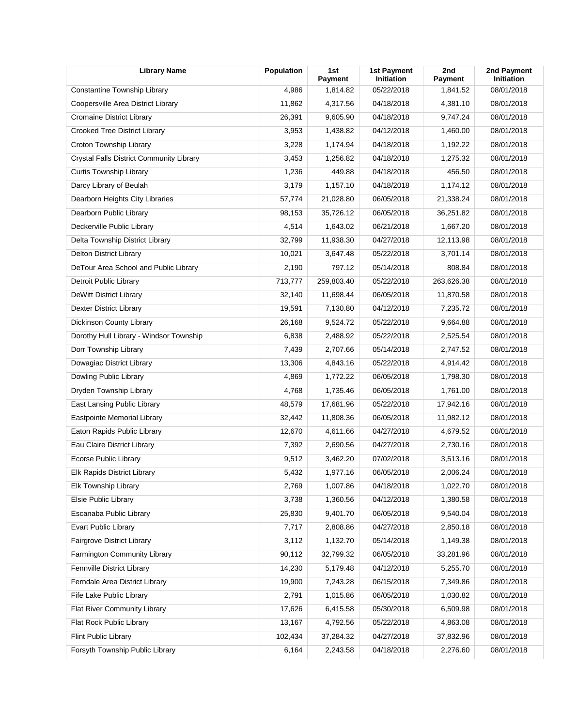| <b>Library Name</b>                      | Population | 1st<br>Payment | 1st Payment<br>Initiation | 2nd<br><b>Payment</b> | 2nd Payment<br>Initiation |
|------------------------------------------|------------|----------------|---------------------------|-----------------------|---------------------------|
| Constantine Township Library             | 4,986      | 1,814.82       | 05/22/2018                | 1,841.52              | 08/01/2018                |
| Coopersville Area District Library       | 11,862     | 4,317.56       | 04/18/2018                | 4,381.10              | 08/01/2018                |
| <b>Cromaine District Library</b>         | 26,391     | 9,605.90       | 04/18/2018                | 9,747.24              | 08/01/2018                |
| <b>Crooked Tree District Library</b>     | 3,953      | 1,438.82       | 04/12/2018                | 1,460.00              | 08/01/2018                |
| Croton Township Library                  | 3,228      | 1,174.94       | 04/18/2018                | 1,192.22              | 08/01/2018                |
| Crystal Falls District Community Library | 3,453      | 1,256.82       | 04/18/2018                | 1,275.32              | 08/01/2018                |
| Curtis Township Library                  | 1,236      | 449.88         | 04/18/2018                | 456.50                | 08/01/2018                |
| Darcy Library of Beulah                  | 3,179      | 1,157.10       | 04/18/2018                | 1,174.12              | 08/01/2018                |
| Dearborn Heights City Libraries          | 57,774     | 21,028.80      | 06/05/2018                | 21,338.24             | 08/01/2018                |
| Dearborn Public Library                  | 98,153     | 35,726.12      | 06/05/2018                | 36,251.82             | 08/01/2018                |
| Deckerville Public Library               | 4,514      | 1,643.02       | 06/21/2018                | 1,667.20              | 08/01/2018                |
| Delta Township District Library          | 32,799     | 11,938.30      | 04/27/2018                | 12,113.98             | 08/01/2018                |
| <b>Delton District Library</b>           | 10,021     | 3,647.48       | 05/22/2018                | 3,701.14              | 08/01/2018                |
| DeTour Area School and Public Library    | 2,190      | 797.12         | 05/14/2018                | 808.84                | 08/01/2018                |
| Detroit Public Library                   | 713,777    | 259,803.40     | 05/22/2018                | 263,626.38            | 08/01/2018                |
| DeWitt District Library                  | 32,140     | 11,698.44      | 06/05/2018                | 11,870.58             | 08/01/2018                |
| <b>Dexter District Library</b>           | 19,591     | 7,130.80       | 04/12/2018                | 7,235.72              | 08/01/2018                |
| Dickinson County Library                 | 26,168     | 9,524.72       | 05/22/2018                | 9,664.88              | 08/01/2018                |
| Dorothy Hull Library - Windsor Township  | 6,838      | 2,488.92       | 05/22/2018                | 2,525.54              | 08/01/2018                |
| Dorr Township Library                    | 7,439      | 2,707.66       | 05/14/2018                | 2,747.52              | 08/01/2018                |
| Dowagiac District Library                | 13,306     | 4,843.16       | 05/22/2018                | 4,914.42              | 08/01/2018                |
| Dowling Public Library                   | 4,869      | 1,772.22       | 06/05/2018                | 1,798.30              | 08/01/2018                |
| Dryden Township Library                  | 4,768      | 1,735.46       | 06/05/2018                | 1,761.00              | 08/01/2018                |
| East Lansing Public Library              | 48,579     | 17,681.96      | 05/22/2018                | 17,942.16             | 08/01/2018                |
| <b>Eastpointe Memorial Library</b>       | 32,442     | 11,808.36      | 06/05/2018                | 11,982.12             | 08/01/2018                |
| Eaton Rapids Public Library              | 12,670     | 4,611.66       | 04/27/2018                | 4,679.52              | 08/01/2018                |
| Eau Claire District Library              | 7,392      | 2,690.56       | 04/27/2018                | 2,730.16              | 08/01/2018                |
| Ecorse Public Library                    | 9,512      | 3,462.20       | 07/02/2018                | 3,513.16              | 08/01/2018                |
| Elk Rapids District Library              | 5,432      | 1,977.16       | 06/05/2018                | 2,006.24              | 08/01/2018                |
| Elk Township Library                     | 2,769      | 1,007.86       | 04/18/2018                | 1,022.70              | 08/01/2018                |
| Elsie Public Library                     | 3,738      | 1,360.56       | 04/12/2018                | 1,380.58              | 08/01/2018                |
| Escanaba Public Library                  | 25,830     | 9,401.70       | 06/05/2018                | 9,540.04              | 08/01/2018                |
| Evart Public Library                     | 7,717      | 2,808.86       | 04/27/2018                | 2,850.18              | 08/01/2018                |
| Fairgrove District Library               | 3,112      | 1,132.70       | 05/14/2018                | 1,149.38              | 08/01/2018                |
| Farmington Community Library             | 90,112     | 32,799.32      | 06/05/2018                | 33,281.96             | 08/01/2018                |
| Fennville District Library               | 14,230     | 5,179.48       | 04/12/2018                | 5,255.70              | 08/01/2018                |
| Ferndale Area District Library           | 19,900     | 7,243.28       | 06/15/2018                | 7,349.86              | 08/01/2018                |
| Fife Lake Public Library                 | 2,791      | 1,015.86       | 06/05/2018                | 1,030.82              | 08/01/2018                |
| Flat River Community Library             | 17,626     | 6,415.58       | 05/30/2018                | 6,509.98              | 08/01/2018                |
| Flat Rock Public Library                 | 13,167     | 4,792.56       | 05/22/2018                | 4,863.08              | 08/01/2018                |
| <b>Flint Public Library</b>              | 102,434    | 37,284.32      | 04/27/2018                | 37,832.96             | 08/01/2018                |
| Forsyth Township Public Library          | 6,164      | 2,243.58       | 04/18/2018                | 2,276.60              | 08/01/2018                |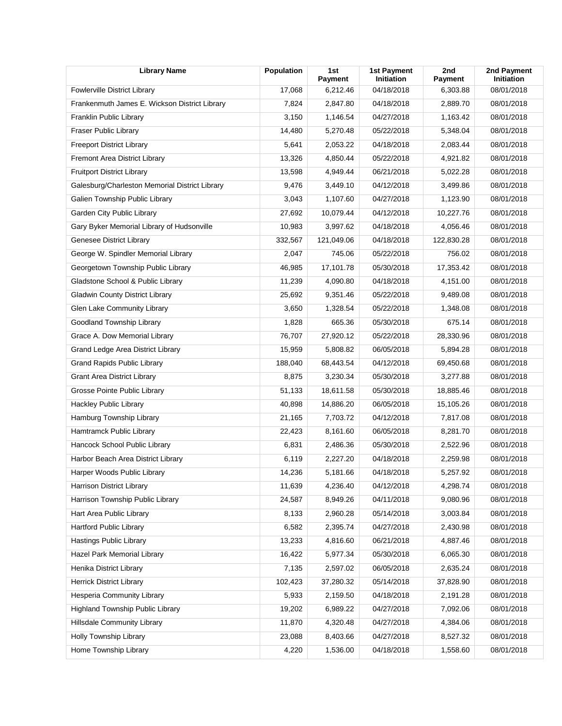| <b>Library Name</b>                            | Population | 1st<br>Payment | <b>1st Payment</b><br><b>Initiation</b> | 2nd<br>Payment | 2nd Payment<br>Initiation |
|------------------------------------------------|------------|----------------|-----------------------------------------|----------------|---------------------------|
| <b>Fowlerville District Library</b>            | 17,068     | 6,212.46       | 04/18/2018                              | 6,303.88       | 08/01/2018                |
| Frankenmuth James E. Wickson District Library  | 7,824      | 2,847.80       | 04/18/2018                              | 2,889.70       | 08/01/2018                |
| Franklin Public Library                        | 3,150      | 1,146.54       | 04/27/2018                              | 1,163.42       | 08/01/2018                |
| <b>Fraser Public Library</b>                   | 14,480     | 5,270.48       | 05/22/2018                              | 5,348.04       | 08/01/2018                |
| <b>Freeport District Library</b>               | 5,641      | 2,053.22       | 04/18/2018                              | 2,083.44       | 08/01/2018                |
| Fremont Area District Library                  | 13,326     | 4,850.44       | 05/22/2018                              | 4,921.82       | 08/01/2018                |
| <b>Fruitport District Library</b>              | 13,598     | 4,949.44       | 06/21/2018                              | 5,022.28       | 08/01/2018                |
| Galesburg/Charleston Memorial District Library | 9,476      | 3,449.10       | 04/12/2018                              | 3,499.86       | 08/01/2018                |
| Galien Township Public Library                 | 3,043      | 1,107.60       | 04/27/2018                              | 1,123.90       | 08/01/2018                |
| Garden City Public Library                     | 27,692     | 10,079.44      | 04/12/2018                              | 10,227.76      | 08/01/2018                |
| Gary Byker Memorial Library of Hudsonville     | 10,983     | 3,997.62       | 04/18/2018                              | 4,056.46       | 08/01/2018                |
| Genesee District Library                       | 332,567    | 121,049.06     | 04/18/2018                              | 122,830.28     | 08/01/2018                |
| George W. Spindler Memorial Library            | 2,047      | 745.06         | 05/22/2018                              | 756.02         | 08/01/2018                |
| Georgetown Township Public Library             | 46,985     | 17,101.78      | 05/30/2018                              | 17,353.42      | 08/01/2018                |
| Gladstone School & Public Library              | 11,239     | 4,090.80       | 04/18/2018                              | 4,151.00       | 08/01/2018                |
| <b>Gladwin County District Library</b>         | 25,692     | 9,351.46       | 05/22/2018                              | 9,489.08       | 08/01/2018                |
| Glen Lake Community Library                    | 3,650      | 1,328.54       | 05/22/2018                              | 1,348.08       | 08/01/2018                |
| Goodland Township Library                      | 1,828      | 665.36         | 05/30/2018                              | 675.14         | 08/01/2018                |
| Grace A. Dow Memorial Library                  | 76,707     | 27,920.12      | 05/22/2018                              | 28,330.96      | 08/01/2018                |
| Grand Ledge Area District Library              | 15,959     | 5,808.82       | 06/05/2018                              | 5,894.28       | 08/01/2018                |
| <b>Grand Rapids Public Library</b>             | 188,040    | 68,443.54      | 04/12/2018                              | 69,450.68      | 08/01/2018                |
| <b>Grant Area District Library</b>             | 8,875      | 3,230.34       | 05/30/2018                              | 3,277.88       | 08/01/2018                |
| Grosse Pointe Public Library                   | 51,133     | 18,611.58      | 05/30/2018                              | 18,885.46      | 08/01/2018                |
| Hackley Public Library                         | 40,898     | 14,886.20      | 06/05/2018                              | 15,105.26      | 08/01/2018                |
| Hamburg Township Library                       | 21,165     | 7,703.72       | 04/12/2018                              | 7,817.08       | 08/01/2018                |
| Hamtramck Public Library                       | 22,423     | 8,161.60       | 06/05/2018                              | 8,281.70       | 08/01/2018                |
| Hancock School Public Library                  | 6,831      | 2,486.36       | 05/30/2018                              | 2,522.96       | 08/01/2018                |
| Harbor Beach Area District Library             | 6,119      | 2,227.20       | 04/18/2018                              | 2,259.98       | 08/01/2018                |
| Harper Woods Public Library                    | 14,236     | 5,181.66       | 04/18/2018                              | 5,257.92       | 08/01/2018                |
| Harrison District Library                      | 11,639     | 4,236.40       | 04/12/2018                              | 4,298.74       | 08/01/2018                |
| Harrison Township Public Library               | 24,587     | 8,949.26       | 04/11/2018                              | 9,080.96       | 08/01/2018                |
| Hart Area Public Library                       | 8,133      | 2,960.28       | 05/14/2018                              | 3,003.84       | 08/01/2018                |
| <b>Hartford Public Library</b>                 | 6,582      | 2,395.74       | 04/27/2018                              | 2,430.98       | 08/01/2018                |
| <b>Hastings Public Library</b>                 | 13,233     | 4,816.60       | 06/21/2018                              | 4,887.46       | 08/01/2018                |
| Hazel Park Memorial Library                    | 16,422     | 5,977.34       | 05/30/2018                              | 6,065.30       | 08/01/2018                |
| Henika District Library                        | 7,135      | 2,597.02       | 06/05/2018                              | 2,635.24       | 08/01/2018                |
| <b>Herrick District Library</b>                | 102,423    | 37,280.32      | 05/14/2018                              | 37,828.90      | 08/01/2018                |
| Hesperia Community Library                     | 5,933      | 2,159.50       | 04/18/2018                              | 2,191.28       | 08/01/2018                |
| Highland Township Public Library               | 19,202     | 6,989.22       | 04/27/2018                              | 7,092.06       | 08/01/2018                |
| Hillsdale Community Library                    | 11,870     | 4,320.48       | 04/27/2018                              | 4,384.06       | 08/01/2018                |
| Holly Township Library                         | 23,088     | 8,403.66       | 04/27/2018                              | 8,527.32       | 08/01/2018                |
| Home Township Library                          | 4,220      | 1,536.00       | 04/18/2018                              | 1,558.60       | 08/01/2018                |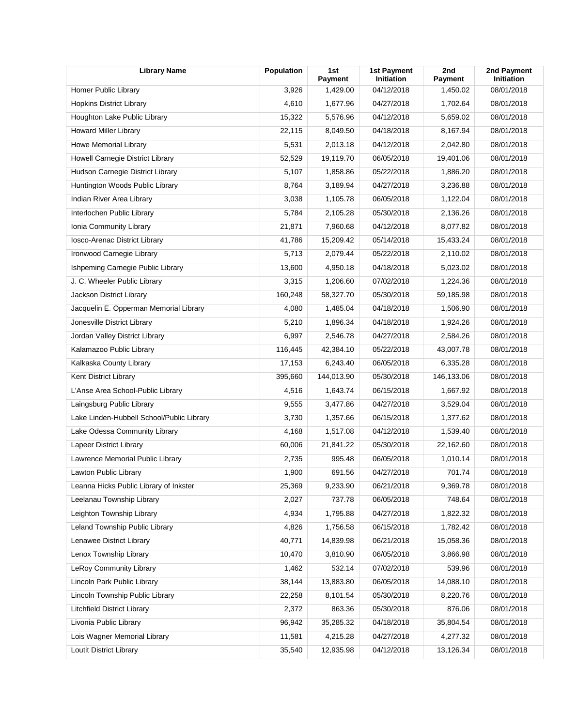| <b>Library Name</b>                       | Population | 1st<br>Payment | 1st Payment<br>Initiation | 2nd<br><b>Payment</b> | 2nd Payment<br>Initiation |
|-------------------------------------------|------------|----------------|---------------------------|-----------------------|---------------------------|
| Homer Public Library                      | 3,926      | 1,429.00       | 04/12/2018                | 1,450.02              | 08/01/2018                |
| <b>Hopkins District Library</b>           | 4,610      | 1,677.96       | 04/27/2018                | 1,702.64              | 08/01/2018                |
| Houghton Lake Public Library              | 15,322     | 5,576.96       | 04/12/2018                | 5,659.02              | 08/01/2018                |
| <b>Howard Miller Library</b>              | 22,115     | 8,049.50       | 04/18/2018                | 8,167.94              | 08/01/2018                |
| Howe Memorial Library                     | 5,531      | 2,013.18       | 04/12/2018                | 2,042.80              | 08/01/2018                |
| Howell Carnegie District Library          | 52,529     | 19,119.70      | 06/05/2018                | 19,401.06             | 08/01/2018                |
| Hudson Carnegie District Library          | 5,107      | 1,858.86       | 05/22/2018                | 1,886.20              | 08/01/2018                |
| Huntington Woods Public Library           | 8,764      | 3,189.94       | 04/27/2018                | 3,236.88              | 08/01/2018                |
| Indian River Area Library                 | 3,038      | 1,105.78       | 06/05/2018                | 1,122.04              | 08/01/2018                |
| Interlochen Public Library                | 5,784      | 2,105.28       | 05/30/2018                | 2,136.26              | 08/01/2018                |
| Ionia Community Library                   | 21,871     | 7,960.68       | 04/12/2018                | 8,077.82              | 08/01/2018                |
| Iosco-Arenac District Library             | 41,786     | 15,209.42      | 05/14/2018                | 15,433.24             | 08/01/2018                |
| Ironwood Carnegie Library                 | 5,713      | 2,079.44       | 05/22/2018                | 2,110.02              | 08/01/2018                |
| Ishpeming Carnegie Public Library         | 13,600     | 4,950.18       | 04/18/2018                | 5,023.02              | 08/01/2018                |
| J. C. Wheeler Public Library              | 3,315      | 1,206.60       | 07/02/2018                | 1,224.36              | 08/01/2018                |
| Jackson District Library                  | 160,248    | 58,327.70      | 05/30/2018                | 59,185.98             | 08/01/2018                |
| Jacquelin E. Opperman Memorial Library    | 4,080      | 1,485.04       | 04/18/2018                | 1,506.90              | 08/01/2018                |
| Jonesville District Library               | 5,210      | 1,896.34       | 04/18/2018                | 1,924.26              | 08/01/2018                |
| Jordan Valley District Library            | 6,997      | 2,546.78       | 04/27/2018                | 2,584.26              | 08/01/2018                |
| Kalamazoo Public Library                  | 116,445    | 42,384.10      | 05/22/2018                | 43,007.78             | 08/01/2018                |
| Kalkaska County Library                   | 17,153     | 6,243.40       | 06/05/2018                | 6,335.28              | 08/01/2018                |
| Kent District Library                     | 395,660    | 144,013.90     | 05/30/2018                | 146,133.06            | 08/01/2018                |
| L'Anse Area School-Public Library         | 4,516      | 1,643.74       | 06/15/2018                | 1,667.92              | 08/01/2018                |
| Laingsburg Public Library                 | 9,555      | 3,477.86       | 04/27/2018                | 3,529.04              | 08/01/2018                |
| Lake Linden-Hubbell School/Public Library | 3,730      | 1,357.66       | 06/15/2018                | 1,377.62              | 08/01/2018                |
| Lake Odessa Community Library             | 4,168      | 1,517.08       | 04/12/2018                | 1,539.40              | 08/01/2018                |
| Lapeer District Library                   | 60,006     | 21,841.22      | 05/30/2018                | 22,162.60             | 08/01/2018                |
| Lawrence Memorial Public Library          | 2,735      | 995.48         | 06/05/2018                | 1,010.14              | 08/01/2018                |
| Lawton Public Library                     | 1,900      | 691.56         | 04/27/2018                | 701.74                | 08/01/2018                |
| Leanna Hicks Public Library of Inkster    | 25,369     | 9,233.90       | 06/21/2018                | 9,369.78              | 08/01/2018                |
| Leelanau Township Library                 | 2,027      | 737.78         | 06/05/2018                | 748.64                | 08/01/2018                |
| Leighton Township Library                 | 4,934      | 1,795.88       | 04/27/2018                | 1,822.32              | 08/01/2018                |
| Leland Township Public Library            | 4,826      | 1,756.58       | 06/15/2018                | 1,782.42              | 08/01/2018                |
| Lenawee District Library                  | 40,771     | 14,839.98      | 06/21/2018                | 15,058.36             | 08/01/2018                |
| Lenox Township Library                    | 10,470     | 3,810.90       | 06/05/2018                | 3,866.98              | 08/01/2018                |
| LeRoy Community Library                   | 1,462      | 532.14         | 07/02/2018                | 539.96                | 08/01/2018                |
| Lincoln Park Public Library               | 38,144     | 13,883.80      | 06/05/2018                | 14,088.10             | 08/01/2018                |
| Lincoln Township Public Library           | 22,258     | 8,101.54       | 05/30/2018                | 8,220.76              | 08/01/2018                |
| Litchfield District Library               | 2,372      | 863.36         | 05/30/2018                | 876.06                | 08/01/2018                |
| Livonia Public Library                    | 96,942     | 35,285.32      | 04/18/2018                | 35,804.54             | 08/01/2018                |
| Lois Wagner Memorial Library              | 11,581     | 4,215.28       | 04/27/2018                | 4,277.32              | 08/01/2018                |
| Loutit District Library                   | 35,540     | 12,935.98      | 04/12/2018                | 13,126.34             | 08/01/2018                |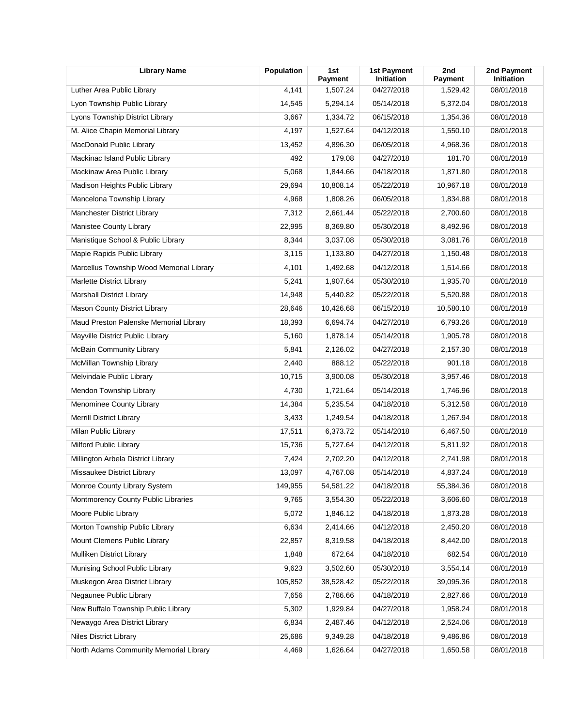| <b>Library Name</b>                      | Population | 1st<br><b>Payment</b> | <b>1st Payment</b><br>Initiation | 2nd<br>Payment | 2nd Payment<br>Initiation |
|------------------------------------------|------------|-----------------------|----------------------------------|----------------|---------------------------|
| Luther Area Public Library               | 4,141      | 1,507.24              | 04/27/2018                       | 1,529.42       | 08/01/2018                |
| Lyon Township Public Library             | 14,545     | 5,294.14              | 05/14/2018                       | 5,372.04       | 08/01/2018                |
| Lyons Township District Library          | 3,667      | 1,334.72              | 06/15/2018                       | 1,354.36       | 08/01/2018                |
| M. Alice Chapin Memorial Library         | 4,197      | 1,527.64              | 04/12/2018                       | 1,550.10       | 08/01/2018                |
| MacDonald Public Library                 | 13,452     | 4,896.30              | 06/05/2018                       | 4,968.36       | 08/01/2018                |
| Mackinac Island Public Library           | 492        | 179.08                | 04/27/2018                       | 181.70         | 08/01/2018                |
| Mackinaw Area Public Library             | 5,068      | 1,844.66              | 04/18/2018                       | 1,871.80       | 08/01/2018                |
| Madison Heights Public Library           | 29,694     | 10,808.14             | 05/22/2018                       | 10,967.18      | 08/01/2018                |
| Mancelona Township Library               | 4,968      | 1,808.26              | 06/05/2018                       | 1,834.88       | 08/01/2018                |
| Manchester District Library              | 7,312      | 2,661.44              | 05/22/2018                       | 2,700.60       | 08/01/2018                |
| Manistee County Library                  | 22,995     | 8,369.80              | 05/30/2018                       | 8,492.96       | 08/01/2018                |
| Manistique School & Public Library       | 8,344      | 3,037.08              | 05/30/2018                       | 3,081.76       | 08/01/2018                |
| Maple Rapids Public Library              | 3,115      | 1,133.80              | 04/27/2018                       | 1,150.48       | 08/01/2018                |
| Marcellus Township Wood Memorial Library | 4,101      | 1,492.68              | 04/12/2018                       | 1,514.66       | 08/01/2018                |
| Marlette District Library                | 5,241      | 1,907.64              | 05/30/2018                       | 1,935.70       | 08/01/2018                |
| Marshall District Library                | 14,948     | 5,440.82              | 05/22/2018                       | 5,520.88       | 08/01/2018                |
| Mason County District Library            | 28,646     | 10,426.68             | 06/15/2018                       | 10,580.10      | 08/01/2018                |
| Maud Preston Palenske Memorial Library   | 18,393     | 6,694.74              | 04/27/2018                       | 6,793.26       | 08/01/2018                |
| Mayville District Public Library         | 5,160      | 1,878.14              | 05/14/2018                       | 1,905.78       | 08/01/2018                |
| <b>McBain Community Library</b>          | 5,841      | 2,126.02              | 04/27/2018                       | 2,157.30       | 08/01/2018                |
| McMillan Township Library                | 2,440      | 888.12                | 05/22/2018                       | 901.18         | 08/01/2018                |
| Melvindale Public Library                | 10,715     | 3,900.08              | 05/30/2018                       | 3,957.46       | 08/01/2018                |
| Mendon Township Library                  | 4,730      | 1,721.64              | 05/14/2018                       | 1,746.96       | 08/01/2018                |
| Menominee County Library                 | 14,384     | 5,235.54              | 04/18/2018                       | 5,312.58       | 08/01/2018                |
| <b>Merrill District Library</b>          | 3,433      | 1,249.54              | 04/18/2018                       | 1,267.94       | 08/01/2018                |
| Milan Public Library                     | 17,511     | 6,373.72              | 05/14/2018                       | 6,467.50       | 08/01/2018                |
| Milford Public Library                   | 15,736     | 5,727.64              | 04/12/2018                       | 5,811.92       | 08/01/2018                |
| Millington Arbela District Library       | 7,424      | 2,702.20              | 04/12/2018                       | 2,741.98       | 08/01/2018                |
| Missaukee District Library               | 13,097     | 4,767.08              | 05/14/2018                       | 4,837.24       | 08/01/2018                |
| Monroe County Library System             | 149,955    | 54,581.22             | 04/18/2018                       | 55,384.36      | 08/01/2018                |
| Montmorency County Public Libraries      | 9,765      | 3,554.30              | 05/22/2018                       | 3,606.60       | 08/01/2018                |
| Moore Public Library                     | 5,072      | 1,846.12              | 04/18/2018                       | 1,873.28       | 08/01/2018                |
| Morton Township Public Library           | 6,634      | 2,414.66              | 04/12/2018                       | 2,450.20       | 08/01/2018                |
| Mount Clemens Public Library             | 22,857     | 8,319.58              | 04/18/2018                       | 8,442.00       | 08/01/2018                |
| Mulliken District Library                | 1,848      | 672.64                | 04/18/2018                       | 682.54         | 08/01/2018                |
| Munising School Public Library           | 9,623      | 3,502.60              | 05/30/2018                       | 3,554.14       | 08/01/2018                |
| Muskegon Area District Library           | 105,852    | 38,528.42             | 05/22/2018                       | 39,095.36      | 08/01/2018                |
| Negaunee Public Library                  | 7,656      | 2,786.66              | 04/18/2018                       | 2,827.66       | 08/01/2018                |
| New Buffalo Township Public Library      | 5,302      | 1,929.84              | 04/27/2018                       | 1,958.24       | 08/01/2018                |
| Newaygo Area District Library            | 6,834      | 2,487.46              | 04/12/2018                       | 2,524.06       | 08/01/2018                |
| <b>Niles District Library</b>            | 25,686     | 9,349.28              | 04/18/2018                       | 9,486.86       | 08/01/2018                |
| North Adams Community Memorial Library   | 4,469      | 1,626.64              | 04/27/2018                       | 1,650.58       | 08/01/2018                |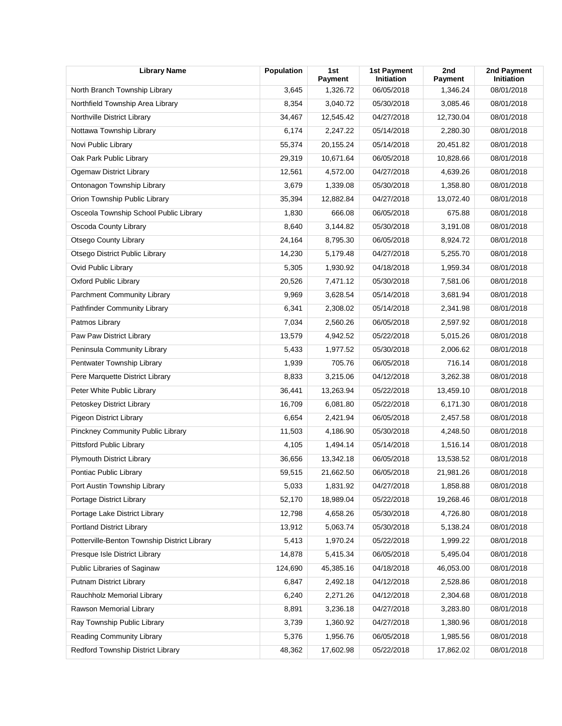| <b>Library Name</b>                          | Population | 1st<br>Payment | <b>1st Payment</b><br>Initiation | 2nd<br><b>Payment</b> | 2nd Payment<br>Initiation |
|----------------------------------------------|------------|----------------|----------------------------------|-----------------------|---------------------------|
| North Branch Township Library                | 3,645      | 1,326.72       | 06/05/2018                       | 1,346.24              | 08/01/2018                |
| Northfield Township Area Library             | 8,354      | 3,040.72       | 05/30/2018                       | 3,085.46              | 08/01/2018                |
| Northville District Library                  | 34,467     | 12,545.42      | 04/27/2018                       | 12,730.04             | 08/01/2018                |
| Nottawa Township Library                     | 6,174      | 2,247.22       | 05/14/2018                       | 2,280.30              | 08/01/2018                |
| Novi Public Library                          | 55,374     | 20,155.24      | 05/14/2018                       | 20,451.82             | 08/01/2018                |
| Oak Park Public Library                      | 29,319     | 10,671.64      | 06/05/2018                       | 10,828.66             | 08/01/2018                |
| <b>Ogemaw District Library</b>               | 12,561     | 4,572.00       | 04/27/2018                       | 4,639.26              | 08/01/2018                |
| Ontonagon Township Library                   | 3,679      | 1,339.08       | 05/30/2018                       | 1,358.80              | 08/01/2018                |
| Orion Township Public Library                | 35,394     | 12,882.84      | 04/27/2018                       | 13,072.40             | 08/01/2018                |
| Osceola Township School Public Library       | 1,830      | 666.08         | 06/05/2018                       | 675.88                | 08/01/2018                |
| Oscoda County Library                        | 8,640      | 3,144.82       | 05/30/2018                       | 3,191.08              | 08/01/2018                |
| Otsego County Library                        | 24,164     | 8,795.30       | 06/05/2018                       | 8,924.72              | 08/01/2018                |
| Otsego District Public Library               | 14,230     | 5,179.48       | 04/27/2018                       | 5,255.70              | 08/01/2018                |
| <b>Ovid Public Library</b>                   | 5,305      | 1,930.92       | 04/18/2018                       | 1,959.34              | 08/01/2018                |
| <b>Oxford Public Library</b>                 | 20,526     | 7,471.12       | 05/30/2018                       | 7,581.06              | 08/01/2018                |
| Parchment Community Library                  | 9,969      | 3,628.54       | 05/14/2018                       | 3,681.94              | 08/01/2018                |
| Pathfinder Community Library                 | 6,341      | 2,308.02       | 05/14/2018                       | 2,341.98              | 08/01/2018                |
| Patmos Library                               | 7,034      | 2,560.26       | 06/05/2018                       | 2,597.92              | 08/01/2018                |
| Paw Paw District Library                     | 13,579     | 4,942.52       | 05/22/2018                       | 5,015.26              | 08/01/2018                |
| Peninsula Community Library                  | 5,433      | 1,977.52       | 05/30/2018                       | 2,006.62              | 08/01/2018                |
| Pentwater Township Library                   | 1,939      | 705.76         | 06/05/2018                       | 716.14                | 08/01/2018                |
| Pere Marquette District Library              | 8,833      | 3,215.06       | 04/12/2018                       | 3,262.38              | 08/01/2018                |
| Peter White Public Library                   | 36,441     | 13,263.94      | 05/22/2018                       | 13,459.10             | 08/01/2018                |
| Petoskey District Library                    | 16,709     | 6,081.80       | 05/22/2018                       | 6,171.30              | 08/01/2018                |
| <b>Pigeon District Library</b>               | 6,654      | 2,421.94       | 06/05/2018                       | 2,457.58              | 08/01/2018                |
| Pinckney Community Public Library            | 11,503     | 4,186.90       | 05/30/2018                       | 4,248.50              | 08/01/2018                |
| <b>Pittsford Public Library</b>              | 4,105      | 1,494.14       | 05/14/2018                       | 1,516.14              | 08/01/2018                |
| <b>Plymouth District Library</b>             | 36,656     | 13,342.18      | 06/05/2018                       | 13,538.52             | 08/01/2018                |
| Pontiac Public Library                       | 59,515     | 21,662.50      | 06/05/2018                       | 21,981.26             | 08/01/2018                |
| Port Austin Township Library                 | 5,033      | 1,831.92       | 04/27/2018                       | 1,858.88              | 08/01/2018                |
| Portage District Library                     | 52,170     | 18,989.04      | 05/22/2018                       | 19,268.46             | 08/01/2018                |
| Portage Lake District Library                | 12,798     | 4,658.26       | 05/30/2018                       | 4,726.80              | 08/01/2018                |
| Portland District Library                    | 13,912     | 5,063.74       | 05/30/2018                       | 5,138.24              | 08/01/2018                |
| Potterville-Benton Township District Library | 5,413      | 1,970.24       | 05/22/2018                       | 1,999.22              | 08/01/2018                |
| Presque Isle District Library                | 14,878     | 5,415.34       | 06/05/2018                       | 5,495.04              | 08/01/2018                |
| Public Libraries of Saginaw                  | 124,690    | 45,385.16      | 04/18/2018                       | 46,053.00             | 08/01/2018                |
| Putnam District Library                      | 6,847      | 2,492.18       | 04/12/2018                       | 2,528.86              | 08/01/2018                |
| Rauchholz Memorial Library                   | 6,240      | 2,271.26       | 04/12/2018                       | 2,304.68              | 08/01/2018                |
| Rawson Memorial Library                      | 8,891      | 3,236.18       | 04/27/2018                       | 3,283.80              | 08/01/2018                |
| Ray Township Public Library                  | 3,739      | 1,360.92       | 04/27/2018                       | 1,380.96              | 08/01/2018                |
| Reading Community Library                    | 5,376      | 1,956.76       | 06/05/2018                       | 1,985.56              | 08/01/2018                |
| Redford Township District Library            | 48,362     | 17,602.98      | 05/22/2018                       | 17,862.02             | 08/01/2018                |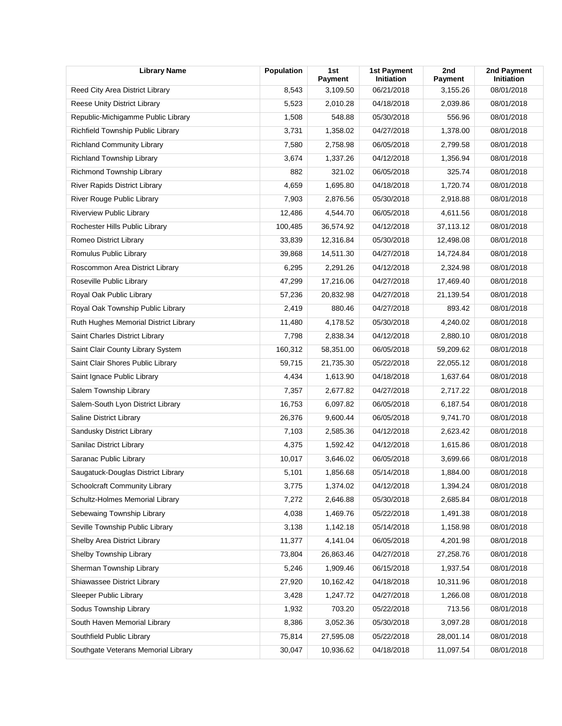| <b>Library Name</b>                   | Population | 1st<br>Payment | <b>1st Payment</b><br>Initiation | 2nd<br><b>Payment</b> | 2nd Payment<br><b>Initiation</b> |
|---------------------------------------|------------|----------------|----------------------------------|-----------------------|----------------------------------|
| Reed City Area District Library       | 8,543      | 3,109.50       | 06/21/2018                       | 3,155.26              | 08/01/2018                       |
| Reese Unity District Library          | 5,523      | 2,010.28       | 04/18/2018                       | 2,039.86              | 08/01/2018                       |
| Republic-Michigamme Public Library    | 1,508      | 548.88         | 05/30/2018                       | 556.96                | 08/01/2018                       |
| Richfield Township Public Library     | 3,731      | 1,358.02       | 04/27/2018                       | 1,378.00              | 08/01/2018                       |
| <b>Richland Community Library</b>     | 7,580      | 2,758.98       | 06/05/2018                       | 2,799.58              | 08/01/2018                       |
| <b>Richland Township Library</b>      | 3,674      | 1,337.26       | 04/12/2018                       | 1,356.94              | 08/01/2018                       |
| Richmond Township Library             | 882        | 321.02         | 06/05/2018                       | 325.74                | 08/01/2018                       |
| River Rapids District Library         | 4,659      | 1,695.80       | 04/18/2018                       | 1,720.74              | 08/01/2018                       |
| River Rouge Public Library            | 7,903      | 2,876.56       | 05/30/2018                       | 2,918.88              | 08/01/2018                       |
| <b>Riverview Public Library</b>       | 12,486     | 4,544.70       | 06/05/2018                       | 4,611.56              | 08/01/2018                       |
| Rochester Hills Public Library        | 100,485    | 36,574.92      | 04/12/2018                       | 37,113.12             | 08/01/2018                       |
| Romeo District Library                | 33,839     | 12,316.84      | 05/30/2018                       | 12,498.08             | 08/01/2018                       |
| Romulus Public Library                | 39,868     | 14,511.30      | 04/27/2018                       | 14,724.84             | 08/01/2018                       |
| Roscommon Area District Library       | 6,295      | 2,291.26       | 04/12/2018                       | 2,324.98              | 08/01/2018                       |
| Roseville Public Library              | 47,299     | 17,216.06      | 04/27/2018                       | 17,469.40             | 08/01/2018                       |
| Royal Oak Public Library              | 57,236     | 20,832.98      | 04/27/2018                       | 21,139.54             | 08/01/2018                       |
| Royal Oak Township Public Library     | 2,419      | 880.46         | 04/27/2018                       | 893.42                | 08/01/2018                       |
| Ruth Hughes Memorial District Library | 11,480     | 4,178.52       | 05/30/2018                       | 4,240.02              | 08/01/2018                       |
| Saint Charles District Library        | 7,798      | 2,838.34       | 04/12/2018                       | 2,880.10              | 08/01/2018                       |
| Saint Clair County Library System     | 160,312    | 58,351.00      | 06/05/2018                       | 59,209.62             | 08/01/2018                       |
| Saint Clair Shores Public Library     | 59,715     | 21,735.30      | 05/22/2018                       | 22,055.12             | 08/01/2018                       |
| Saint Ignace Public Library           | 4,434      | 1,613.90       | 04/18/2018                       | 1,637.64              | 08/01/2018                       |
| Salem Township Library                | 7,357      | 2,677.82       | 04/27/2018                       | 2,717.22              | 08/01/2018                       |
| Salem-South Lyon District Library     | 16,753     | 6,097.82       | 06/05/2018                       | 6,187.54              | 08/01/2018                       |
| Saline District Library               | 26,376     | 9,600.44       | 06/05/2018                       | 9,741.70              | 08/01/2018                       |
| Sandusky District Library             | 7,103      | 2,585.36       | 04/12/2018                       | 2,623.42              | 08/01/2018                       |
| Sanilac District Library              | 4,375      | 1,592.42       | 04/12/2018                       | 1,615.86              | 08/01/2018                       |
| Saranac Public Library                | 10,017     | 3,646.02       | 06/05/2018                       | 3,699.66              | 08/01/2018                       |
| Saugatuck-Douglas District Library    | 5,101      | 1,856.68       | 05/14/2018                       | 1,884.00              | 08/01/2018                       |
| Schoolcraft Community Library         | 3,775      | 1,374.02       | 04/12/2018                       | 1,394.24              | 08/01/2018                       |
| Schultz-Holmes Memorial Library       | 7,272      | 2,646.88       | 05/30/2018                       | 2,685.84              | 08/01/2018                       |
| Sebewaing Township Library            | 4,038      | 1,469.76       | 05/22/2018                       | 1,491.38              | 08/01/2018                       |
| Seville Township Public Library       | 3,138      | 1,142.18       | 05/14/2018                       | 1,158.98              | 08/01/2018                       |
| Shelby Area District Library          | 11,377     | 4,141.04       | 06/05/2018                       | 4,201.98              | 08/01/2018                       |
| Shelby Township Library               | 73,804     | 26,863.46      | 04/27/2018                       | 27,258.76             | 08/01/2018                       |
| Sherman Township Library              | 5,246      | 1,909.46       | 06/15/2018                       | 1,937.54              | 08/01/2018                       |
| Shiawassee District Library           | 27,920     | 10,162.42      | 04/18/2018                       | 10,311.96             | 08/01/2018                       |
| Sleeper Public Library                | 3,428      | 1,247.72       | 04/27/2018                       | 1,266.08              | 08/01/2018                       |
| Sodus Township Library                | 1,932      | 703.20         | 05/22/2018                       | 713.56                | 08/01/2018                       |
| South Haven Memorial Library          | 8,386      | 3,052.36       | 05/30/2018                       | 3,097.28              | 08/01/2018                       |
| Southfield Public Library             | 75,814     | 27,595.08      | 05/22/2018                       | 28,001.14             | 08/01/2018                       |
| Southgate Veterans Memorial Library   | 30,047     | 10,936.62      | 04/18/2018                       | 11,097.54             | 08/01/2018                       |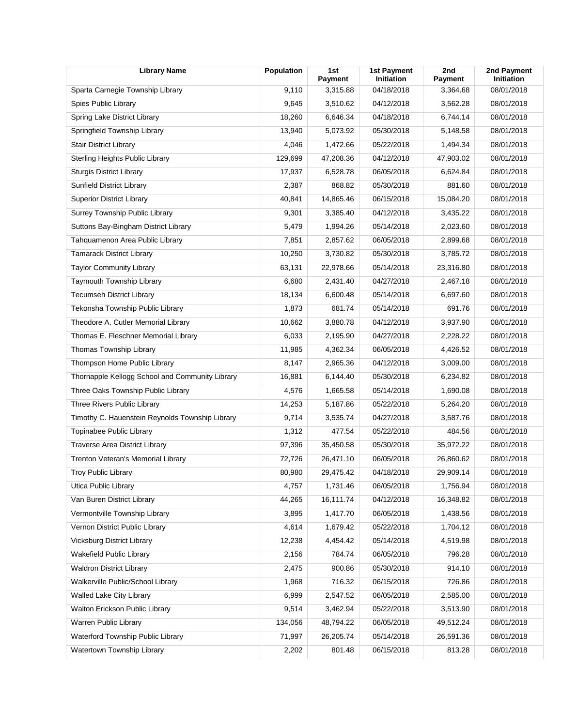| <b>Library Name</b>                             | Population | 1st<br>Payment | <b>1st Payment</b><br>Initiation | 2nd<br><b>Payment</b> | 2nd Payment<br>Initiation |
|-------------------------------------------------|------------|----------------|----------------------------------|-----------------------|---------------------------|
| Sparta Carnegie Township Library                | 9,110      | 3,315.88       | 04/18/2018                       | 3,364.68              | 08/01/2018                |
| Spies Public Library                            | 9,645      | 3,510.62       | 04/12/2018                       | 3,562.28              | 08/01/2018                |
| Spring Lake District Library                    | 18,260     | 6,646.34       | 04/18/2018                       | 6,744.14              | 08/01/2018                |
| Springfield Township Library                    | 13,940     | 5,073.92       | 05/30/2018                       | 5,148.58              | 08/01/2018                |
| <b>Stair District Library</b>                   | 4,046      | 1,472.66       | 05/22/2018                       | 1,494.34              | 08/01/2018                |
| Sterling Heights Public Library                 | 129.699    | 47,208.36      | 04/12/2018                       | 47,903.02             | 08/01/2018                |
| <b>Sturgis District Library</b>                 | 17,937     | 6,528.78       | 06/05/2018                       | 6,624.84              | 08/01/2018                |
| Sunfield District Library                       | 2,387      | 868.82         | 05/30/2018                       | 881.60                | 08/01/2018                |
| <b>Superior District Library</b>                | 40,841     | 14,865.46      | 06/15/2018                       | 15,084.20             | 08/01/2018                |
| Surrey Township Public Library                  | 9,301      | 3,385.40       | 04/12/2018                       | 3,435.22              | 08/01/2018                |
| Suttons Bay-Bingham District Library            | 5,479      | 1,994.26       | 05/14/2018                       | 2,023.60              | 08/01/2018                |
| Tahquamenon Area Public Library                 | 7,851      | 2,857.62       | 06/05/2018                       | 2,899.68              | 08/01/2018                |
| <b>Tamarack District Library</b>                | 10,250     | 3,730.82       | 05/30/2018                       | 3,785.72              | 08/01/2018                |
| <b>Taylor Community Library</b>                 | 63,131     | 22,978.66      | 05/14/2018                       | 23,316.80             | 08/01/2018                |
| Taymouth Township Library                       | 6,680      | 2,431.40       | 04/27/2018                       | 2,467.18              | 08/01/2018                |
| <b>Tecumseh District Library</b>                | 18,134     | 6,600.48       | 05/14/2018                       | 6,697.60              | 08/01/2018                |
| Tekonsha Township Public Library                | 1,873      | 681.74         | 05/14/2018                       | 691.76                | 08/01/2018                |
| Theodore A. Cutler Memorial Library             | 10,662     | 3,880.78       | 04/12/2018                       | 3,937.90              | 08/01/2018                |
| Thomas E. Fleschner Memorial Library            | 6,033      | 2,195.90       | 04/27/2018                       | 2,228.22              | 08/01/2018                |
| Thomas Township Library                         | 11,985     | 4,362.34       | 06/05/2018                       | 4,426.52              | 08/01/2018                |
| Thompson Home Public Library                    | 8,147      | 2,965.36       | 04/12/2018                       | 3,009.00              | 08/01/2018                |
| Thornapple Kellogg School and Community Library | 16,881     | 6,144.40       | 05/30/2018                       | 6,234.82              | 08/01/2018                |
| Three Oaks Township Public Library              | 4,576      | 1,665.58       | 05/14/2018                       | 1,690.08              | 08/01/2018                |
| Three Rivers Public Library                     | 14,253     | 5,187.86       | 05/22/2018                       | 5,264.20              | 08/01/2018                |
| Timothy C. Hauenstein Reynolds Township Library | 9,714      | 3,535.74       | 04/27/2018                       | 3,587.76              | 08/01/2018                |
| Topinabee Public Library                        | 1,312      | 477.54         | 05/22/2018                       | 484.56                | 08/01/2018                |
| <b>Traverse Area District Library</b>           | 97,396     | 35,450.58      | 05/30/2018                       | 35,972.22             | 08/01/2018                |
| Trenton Veteran's Memorial Library              | 72,726     | 26,471.10      | 06/05/2018                       | 26,860.62             | 08/01/2018                |
| <b>Troy Public Library</b>                      | 80,980     | 29,475.42      | 04/18/2018                       | 29,909.14             | 08/01/2018                |
| Utica Public Library                            | 4,757      | 1,731.46       | 06/05/2018                       | 1,756.94              | 08/01/2018                |
| Van Buren District Library                      | 44,265     | 16,111.74      | 04/12/2018                       | 16,348.82             | 08/01/2018                |
| Vermontville Township Library                   | 3,895      | 1,417.70       | 06/05/2018                       | 1,438.56              | 08/01/2018                |
| Vernon District Public Library                  | 4,614      | 1,679.42       | 05/22/2018                       | 1,704.12              | 08/01/2018                |
| Vicksburg District Library                      | 12,238     | 4,454.42       | 05/14/2018                       | 4,519.98              | 08/01/2018                |
| Wakefield Public Library                        | 2,156      | 784.74         | 06/05/2018                       | 796.28                | 08/01/2018                |
| <b>Waldron District Library</b>                 | 2,475      | 900.86         | 05/30/2018                       | 914.10                | 08/01/2018                |
| Walkerville Public/School Library               | 1,968      | 716.32         | 06/15/2018                       | 726.86                | 08/01/2018                |
| Walled Lake City Library                        | 6,999      | 2,547.52       | 06/05/2018                       | 2,585.00              | 08/01/2018                |
| Walton Erickson Public Library                  | 9,514      | 3,462.94       | 05/22/2018                       | 3,513.90              | 08/01/2018                |
| Warren Public Library                           | 134,056    | 48,794.22      | 06/05/2018                       | 49,512.24             | 08/01/2018                |
| Waterford Township Public Library               | 71,997     | 26,205.74      | 05/14/2018                       | 26,591.36             | 08/01/2018                |
| Watertown Township Library                      | 2,202      | 801.48         | 06/15/2018                       | 813.28                | 08/01/2018                |